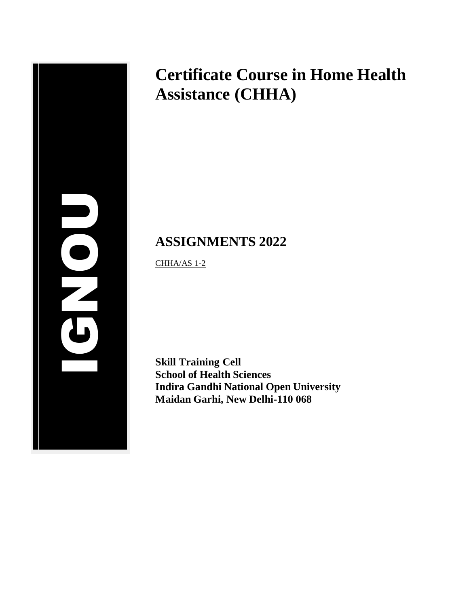# **2012** IGNOU

# **Certificate Course in Home Health Assistance (CHHA)**

# **ASSIGNMENTS 2022**

CHHA/AS 1-2

**Skill Training Cell School of Health Sciences Indira Gandhi National Open University Maidan Garhi, New Delhi-110 068**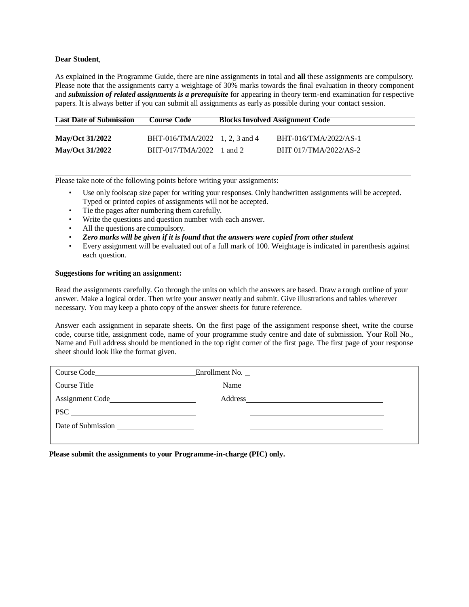### **Dear Student**,

As explained in the Programme Guide, there are nine assignments in total and **all** these assignments are compulsory. Please note that the assignments carry a weightage of 30% marks towards the final evaluation in theory component and *submission of related assignments is a prerequisite* for appearing in theory term-end examination for respective papers. It is always better if you can submit all assignments as early as possible during your contact session.

| <b>Last Date of Submission</b> | <b>Course Code</b>             | <b>Blocks Involved Assignment Code</b> |
|--------------------------------|--------------------------------|----------------------------------------|
| <b>May/Oct 31/2022</b>         | BHT-016/TMA/2022 1, 2, 3 and 4 | BHT-016/TMA/2022/AS-1                  |
| <b>May/Oct 31/2022</b>         | $BHT-017/TMA/2022$ 1 and 2     | BHT 017/TMA/2022/AS-2                  |

Please take note of the following points before writing your assignments:

- Use only foolscap size paper for writing your responses. Only handwritten assignments will be accepted. Typed or printed copies of assignments will not be accepted.
- Tie the pages after numbering them carefully.
- Write the questions and question number with each answer.
- All the questions are compulsory.
- *Zero marks will be given if it is found that the answers were copied from other student*
- Every assignment will be evaluated out of a full mark of 100. Weightage is indicated in parenthesis against each question.

### **Suggestions for writing an assignment:**

Read the assignments carefully. Go through the units on which the answers are based. Draw a rough outline of your answer. Make a logical order. Then write your answer neatly and submit. Give illustrations and tables wherever necessary. You may keep a photo copy of the answer sheets for future reference.

Answer each assignment in separate sheets. On the first page of the assignment response sheet, write the course code, course title, assignment code, name of your programme study centre and date of submission. Your Roll No., Name and Full address should be mentioned in the top right corner of the first page. The first page of your response sheet should look like the format given.

| Course Code <b>Contract Contract Contract Contract Contract Contract Contract Contract Contract Contract Contract Contract Contract Contract Contract Contract Contract Contract Contract Contract Contract Contract Contract Co</b> | Enrollment No. |  |
|--------------------------------------------------------------------------------------------------------------------------------------------------------------------------------------------------------------------------------------|----------------|--|
| Course Title                                                                                                                                                                                                                         | Name           |  |
| Assignment Code                                                                                                                                                                                                                      | Address        |  |
|                                                                                                                                                                                                                                      |                |  |
| Date of Submission<br><u> 1980 - Jan Samuel Barbara, politik a politik (</u>                                                                                                                                                         |                |  |
|                                                                                                                                                                                                                                      |                |  |

**Please submit the assignments to your Programme-in-charge (PIC) only.**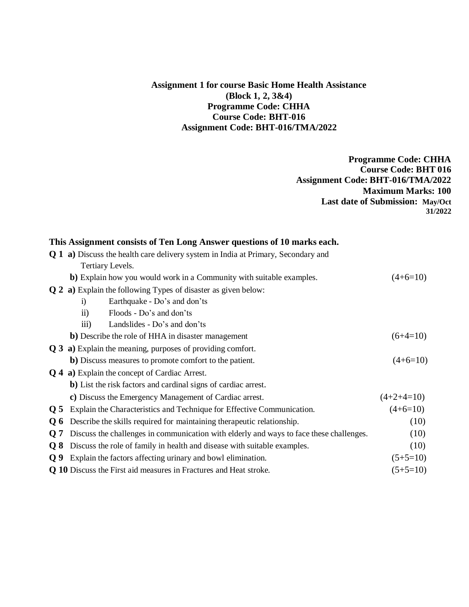# **Assignment 1 for course Basic Home Health Assistance (Block 1, 2, 3&4) Programme Code: CHHA Course Code: BHT-016 Assignment Code: BHT-016/TMA/2022**

**Programme Code: CHHA Course Code: BHT 016 Assignment Code: BHT-016/TMA/2022 Maximum Marks: 100 Last date of Submission: May/Oct 31/2022**

# **This Assignment consists of Ten Long Answer questions of 10 marks each.**

|                 | <b>Q 1 a)</b> Discuss the health care delivery system in India at Primary, Secondary and |                                                                                         |              |  |  |
|-----------------|------------------------------------------------------------------------------------------|-----------------------------------------------------------------------------------------|--------------|--|--|
|                 | Tertiary Levels.                                                                         |                                                                                         |              |  |  |
|                 | b) Explain how you would work in a Community with suitable examples.                     | $(4+6=10)$                                                                              |              |  |  |
|                 | <b>Q 2 a)</b> Explain the following Types of disaster as given below:                    |                                                                                         |              |  |  |
|                 | $\ddot{1}$                                                                               | Earthquake - Do's and don'ts                                                            |              |  |  |
|                 | $\ddot{\text{ii}})$                                                                      | Floods - Do's and don'ts                                                                |              |  |  |
|                 | $\overline{iii}$                                                                         | Landslides - Do's and don'ts                                                            |              |  |  |
|                 |                                                                                          | <b>b</b> ) Describe the role of HHA in disaster management                              | $(6+4=10)$   |  |  |
|                 | Q 3 a) Explain the meaning, purposes of providing comfort.                               |                                                                                         |              |  |  |
|                 |                                                                                          | <b>b</b> ) Discuss measures to promote comfort to the patient.                          | $(4+6=10)$   |  |  |
|                 | <b>Q 4 a)</b> Explain the concept of Cardiac Arrest.                                     |                                                                                         |              |  |  |
|                 | <b>b</b> ) List the risk factors and cardinal signs of cardiac arrest.                   |                                                                                         |              |  |  |
|                 |                                                                                          | c) Discuss the Emergency Management of Cardiac arrest.                                  | $(4+2+4=10)$ |  |  |
| 0 <sub>5</sub>  |                                                                                          | Explain the Characteristics and Technique for Effective Communication.                  | $(4+6=10)$   |  |  |
| $Q_6$           |                                                                                          | Describe the skills required for maintaining therapeutic relationship.                  | (10)         |  |  |
| $\overline{O}7$ |                                                                                          | Discuss the challenges in communication with elderly and ways to face these challenges. | (10)         |  |  |
| O 8             |                                                                                          | Discuss the role of family in health and disease with suitable examples.                | (10)         |  |  |
| Q <sub>9</sub>  |                                                                                          | Explain the factors affecting urinary and bowl elimination.                             | $(5+5=10)$   |  |  |
|                 |                                                                                          | <b>Q 10</b> Discuss the First aid measures in Fractures and Heat stroke.                | $(5+5=10)$   |  |  |